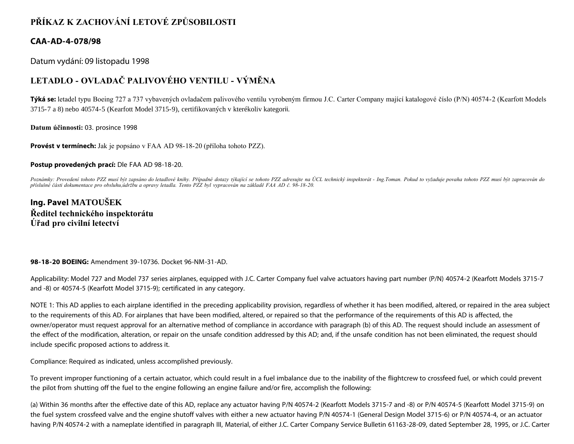## **PŘÍKAZ K ZACHOVÁNÍ LETOVÉ ZPŮSOBILOSTI**

### **CAA-AD-4-078/98**

Datum vydání: 09 listopadu 1998

# **LETADLO - OVLADAČ PALIVOVÉHO VENTILU - VÝMĚNA**

**Týká se:** letadel typu Boeing 727 a 737 vybavených ovladačem palivového ventilu vyrobeným firmou J.C. Carter Company mající katalogové číslo (P/N) 40574-2 (Kearfott Models 3715-7 a 8) nebo 40574-5 (Kearfott Model 3715-9), certifikovaných v kterékoliv kategorii.

**Datum účinnosti:** 03. prosince 1998

**Provést v termínech:** Jak je popsáno v FAA AD 98-18-20 (příloha tohoto PZZ).

#### **Postup provedených prací:** Dle FAA AD 98-18-20.

*Poznámky: Provedení tohoto PZZ musí být zapsáno do letadlové knihy. Případné dotazy týkající se tohoto PZZ adresujte na ÚCL technický inspektorát - Ing.Toman. Pokud to vyžaduje povaha tohoto PZZ musí být zapracován do příslušné části dokumentace pro obsluhu,údržbu a opravy letadla. Tento PZZ byl vypracován na základě FAA AD č. 98-18-20.*

### **Ing. Pavel MATOUŠEK Ředitel technického inspektorátu Úřad pro civilní letectví**

#### **98-18-20 BOEING:** Amendment 39-10736. Docket 96-NM-31-AD.

Applicability: Model 727 and Model 737 series airplanes, equipped with J.C. Carter Company fuel valve actuators having part number (P/N) 40574-2 (Kearfott Models 3715-7 and -8) or 40574-5 (Kearfott Model 3715-9); certificated in any category.

NOTE 1: This AD applies to each airplane identified in the preceding applicability provision, regardless of whether it has been modified, altered, or repaired in the area subject to the requirements of this AD. For airplanes that have been modified, altered, or repaired so that the performance of the requirements of this AD is affected, the owner/operator must request approval for an alternative method of compliance in accordance with paragraph (b) of this AD. The request should include an assessment of the effect of the modification, alteration, or repair on the unsafe condition addressed by this AD; and, if the unsafe condition has not been eliminated, the request should include specific proposed actions to address it.

Compliance: Required as indicated, unless accomplished previously.

To prevent improper functioning of a certain actuator, which could result in a fuel imbalance due to the inability of the flightcrew to crossfeed fuel, or which could prevent the pilot from shutting off the fuel to the engine following an engine failure and/or fire, accomplish the following:

(a) Within 36 months after the effective date of this AD, replace any actuator having P/N 40574-2 (Kearfott Models 3715-7 and -8) or P/N 40574-5 (Kearfott Model 3715-9) on the fuel system crossfeed valve and the engine shutoff valves with either a new actuator having P/N 40574-1 (General Design Model 3715-6) or P/N 40574-4, or an actuator having P/N 40574-2 with a nameplate identified in paragraph III, Material, of either J.C. Carter Company Service Bulletin 61163-28-09, dated September 28, 1995, or J.C. Carter